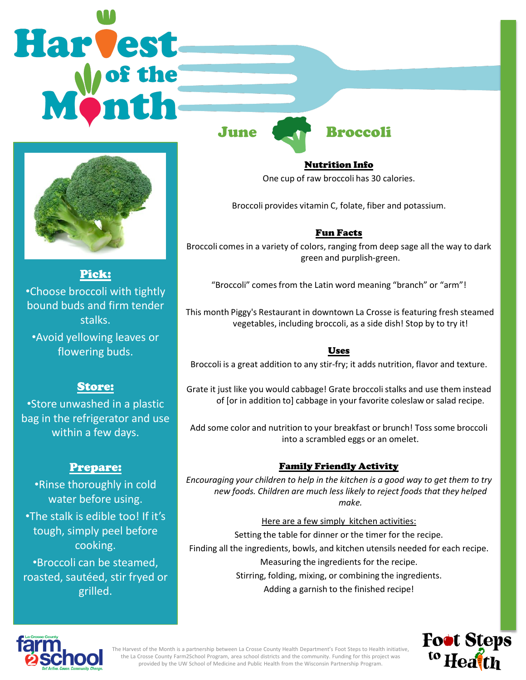# Harvest



Pick: •Choose broccoli with tightly bound buds and firm tender stalks. •Avoid yellowing leaves or

flowering buds.

# Store:

•Store unwashed in a plastic bag in the refrigerator and use within a few days.

# Prepare:

•Rinse thoroughly in cold water before using. •The stalk is edible too! If it's tough, simply peel before cooking. •Broccoli can be steamed,

roasted, sautéed, stir fryed or grilled.

Nutrition Info

June Broccoli

One cup of raw broccoli has 30 calories.

Broccoli provides vitamin C, folate, fiber and potassium.

# Fun Facts

Broccoli comes in a variety of colors, ranging from deep sage all the way to dark green and purplish-green.

"Broccoli" comes from the Latin word meaning "branch" or "arm"!

This month Piggy's Restaurant in downtown La Crosse is featuring fresh steamed vegetables, including broccoli, as a side dish! Stop by to try it!

## Uses

Broccoli is a great addition to any stir-fry; it adds nutrition, flavor and texture.

Grate it just like you would cabbage! Grate broccoli stalks and use them instead of [or in addition to] cabbage in your favorite coleslaw or salad recipe.

Add some color and nutrition to your breakfast or brunch! Toss some broccoli into a scrambled eggs or an omelet.

# Family Friendly Activity

*Encouraging your children to help in the kitchen is a good way to get them to try new foods. Children are much less likely to reject foods that they helped make.*

Here are a few simply kitchen activities: Setting the table for dinner or the timer for the recipe. Finding all the ingredients, bowls, and kitchen utensils needed for each recipe. Measuring the ingredients for the recipe. Stirring, folding, mixing, or combining the ingredients. Adding a garnish to the finished recipe!



**Foot Steps** <sup>to</sup> Heath

The Harvest of the Month is a partnership between La Crosse County Health Department's Foot Steps to Health initiative, the La Crosse County Farm2School Program, area school districts and the community. Funding for this project was provided by the UW School of Medicine and Public Health from the Wisconsin Partnership Program.